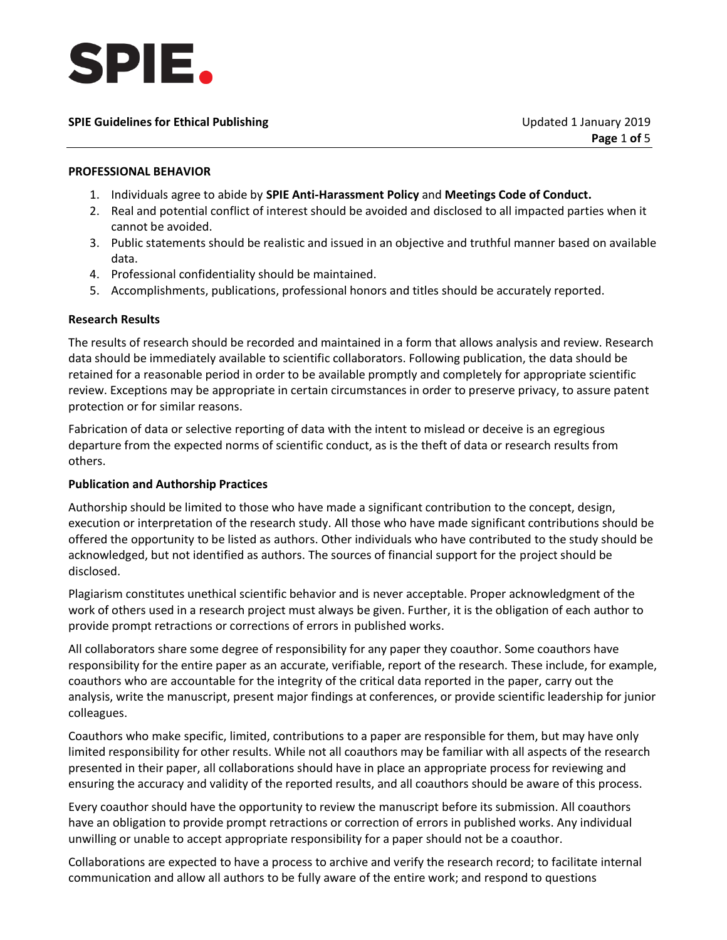

### **PROFESSIONAL BEHAVIOR**

- 1. Individuals agree to abide by **SPIE Anti-Harassment Policy** and **Meetings Code of Conduct.**
- 2. Real and potential conflict of interest should be avoided and disclosed to all impacted parties when it cannot be avoided.
- 3. Public statements should be realistic and issued in an objective and truthful manner based on available data.
- 4. Professional confidentiality should be maintained.
- 5. Accomplishments, publications, professional honors and titles should be accurately reported.

# **Research Results**

The results of research should be recorded and maintained in a form that allows analysis and review. Research data should be immediately available to scientific collaborators. Following publication, the data should be retained for a reasonable period in order to be available promptly and completely for appropriate scientific review. Exceptions may be appropriate in certain circumstances in order to preserve privacy, to assure patent protection or for similar reasons.

Fabrication of data or selective reporting of data with the intent to mislead or deceive is an egregious departure from the expected norms of scientific conduct, as is the theft of data or research results from others.

# **Publication and Authorship Practices**

Authorship should be limited to those who have made a significant contribution to the concept, design, execution or interpretation of the research study. All those who have made significant contributions should be offered the opportunity to be listed as authors. Other individuals who have contributed to the study should be acknowledged, but not identified as authors. The sources of financial support for the project should be disclosed.

Plagiarism constitutes unethical scientific behavior and is never acceptable. Proper acknowledgment of the work of others used in a research project must always be given. Further, it is the obligation of each author to provide prompt retractions or corrections of errors in published works.

All collaborators share some degree of responsibility for any paper they coauthor. Some coauthors have responsibility for the entire paper as an accurate, verifiable, report of the research. These include, for example, coauthors who are accountable for the integrity of the critical data reported in the paper, carry out the analysis, write the manuscript, present major findings at conferences, or provide scientific leadership for junior colleagues.

Coauthors who make specific, limited, contributions to a paper are responsible for them, but may have only limited responsibility for other results. While not all coauthors may be familiar with all aspects of the research presented in their paper, all collaborations should have in place an appropriate process for reviewing and ensuring the accuracy and validity of the reported results, and all coauthors should be aware of this process.

Every coauthor should have the opportunity to review the manuscript before its submission. All coauthors have an obligation to provide prompt retractions or correction of errors in published works. Any individual unwilling or unable to accept appropriate responsibility for a paper should not be a coauthor.

Collaborations are expected to have a process to archive and verify the research record; to facilitate internal communication and allow all authors to be fully aware of the entire work; and respond to questions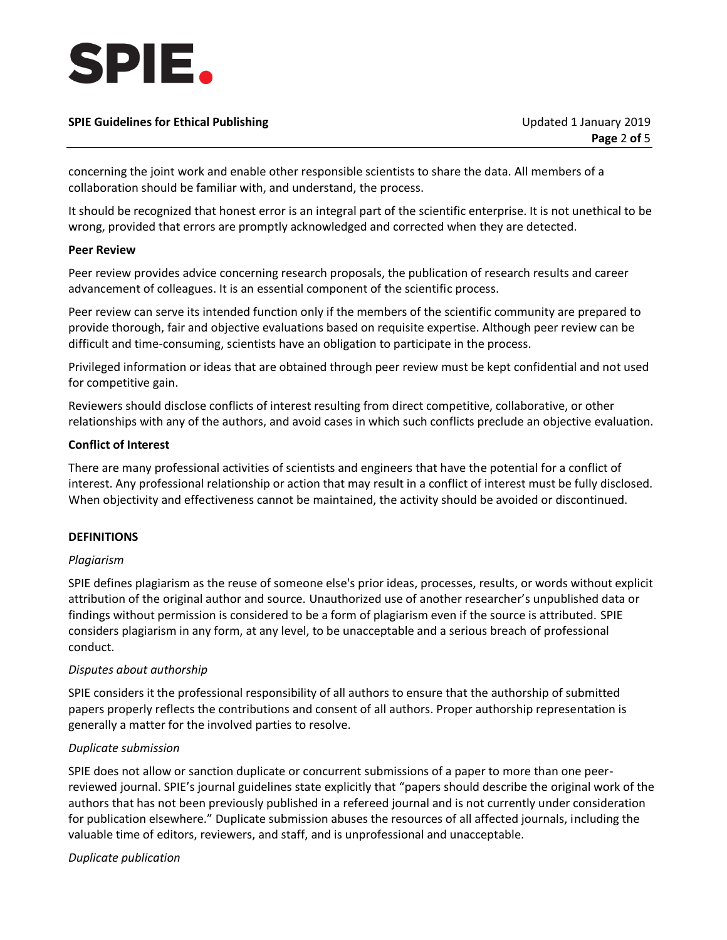

concerning the joint work and enable other responsible scientists to share the data. All members of a collaboration should be familiar with, and understand, the process.

It should be recognized that honest error is an integral part of the scientific enterprise. It is not unethical to be wrong, provided that errors are promptly acknowledged and corrected when they are detected.

#### **Peer Review**

Peer review provides advice concerning research proposals, the publication of research results and career advancement of colleagues. It is an essential component of the scientific process.

Peer review can serve its intended function only if the members of the scientific community are prepared to provide thorough, fair and objective evaluations based on requisite expertise. Although peer review can be difficult and time-consuming, scientists have an obligation to participate in the process.

Privileged information or ideas that are obtained through peer review must be kept confidential and not used for competitive gain.

Reviewers should disclose conflicts of interest resulting from direct competitive, collaborative, or other relationships with any of the authors, and avoid cases in which such conflicts preclude an objective evaluation.

# **Conflict of Interest**

There are many professional activities of scientists and engineers that have the potential for a conflict of interest. Any professional relationship or action that may result in a conflict of interest must be fully disclosed. When objectivity and effectiveness cannot be maintained, the activity should be avoided or discontinued.

# **DEFINITIONS**

#### *Plagiarism*

SPIE defines plagiarism as the reuse of someone else's prior ideas, processes, results, or words without explicit attribution of the original author and source. Unauthorized use of another researcher's unpublished data or findings without permission is considered to be a form of plagiarism even if the source is attributed. SPIE considers plagiarism in any form, at any level, to be unacceptable and a serious breach of professional conduct.

# *Disputes about authorship*

SPIE considers it the professional responsibility of all authors to ensure that the authorship of submitted papers properly reflects the contributions and consent of all authors. Proper authorship representation is generally a matter for the involved parties to resolve.

#### *Duplicate submission*

SPIE does not allow or sanction duplicate or concurrent submissions of a paper to more than one peerreviewed journal. SPIE's journal guidelines state explicitly that "papers should describe the original work of the authors that has not been previously published in a refereed journal and is not currently under consideration for publication elsewhere." Duplicate submission abuses the resources of all affected journals, including the valuable time of editors, reviewers, and staff, and is unprofessional and unacceptable.

# *Duplicate publication*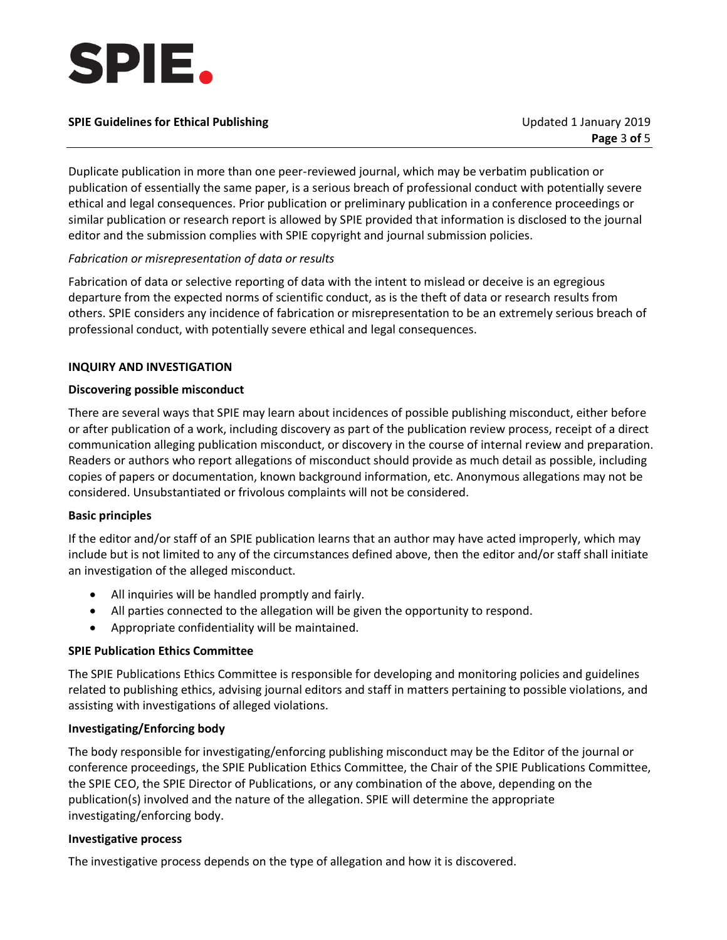

Duplicate publication in more than one peer-reviewed journal, which may be verbatim publication or publication of essentially the same paper, is a serious breach of professional conduct with potentially severe ethical and legal consequences. Prior publication or preliminary publication in a conference proceedings or similar publication or research report is allowed by SPIE provided that information is disclosed to the journal editor and the submission complies with SPIE copyright and journal submission policies.

### *Fabrication or misrepresentation of data or results*

Fabrication of data or selective reporting of data with the intent to mislead or deceive is an egregious departure from the expected norms of scientific conduct, as is the theft of data or research results from others. SPIE considers any incidence of fabrication or misrepresentation to be an extremely serious breach of professional conduct, with potentially severe ethical and legal consequences.

### **INQUIRY AND INVESTIGATION**

### **Discovering possible misconduct**

There are several ways that SPIE may learn about incidences of possible publishing misconduct, either before or after publication of a work, including discovery as part of the publication review process, receipt of a direct communication alleging publication misconduct, or discovery in the course of internal review and preparation. Readers or authors who report allegations of misconduct should provide as much detail as possible, including copies of papers or documentation, known background information, etc. Anonymous allegations may not be considered. Unsubstantiated or frivolous complaints will not be considered.

# **Basic principles**

If the editor and/or staff of an SPIE publication learns that an author may have acted improperly, which may include but is not limited to any of the circumstances defined above, then the editor and/or staff shall initiate an investigation of the alleged misconduct.

- All inquiries will be handled promptly and fairly.
- All parties connected to the allegation will be given the opportunity to respond.
- Appropriate confidentiality will be maintained.

# **SPIE Publication Ethics Committee**

The SPIE Publications Ethics Committee is responsible for developing and monitoring policies and guidelines related to publishing ethics, advising journal editors and staff in matters pertaining to possible violations, and assisting with investigations of alleged violations.

# **Investigating/Enforcing body**

The body responsible for investigating/enforcing publishing misconduct may be the Editor of the journal or conference proceedings, the SPIE Publication Ethics Committee, the Chair of the SPIE Publications Committee, the SPIE CEO, the SPIE Director of Publications, or any combination of the above, depending on the publication(s) involved and the nature of the allegation. SPIE will determine the appropriate investigating/enforcing body.

#### **Investigative process**

The investigative process depends on the type of allegation and how it is discovered.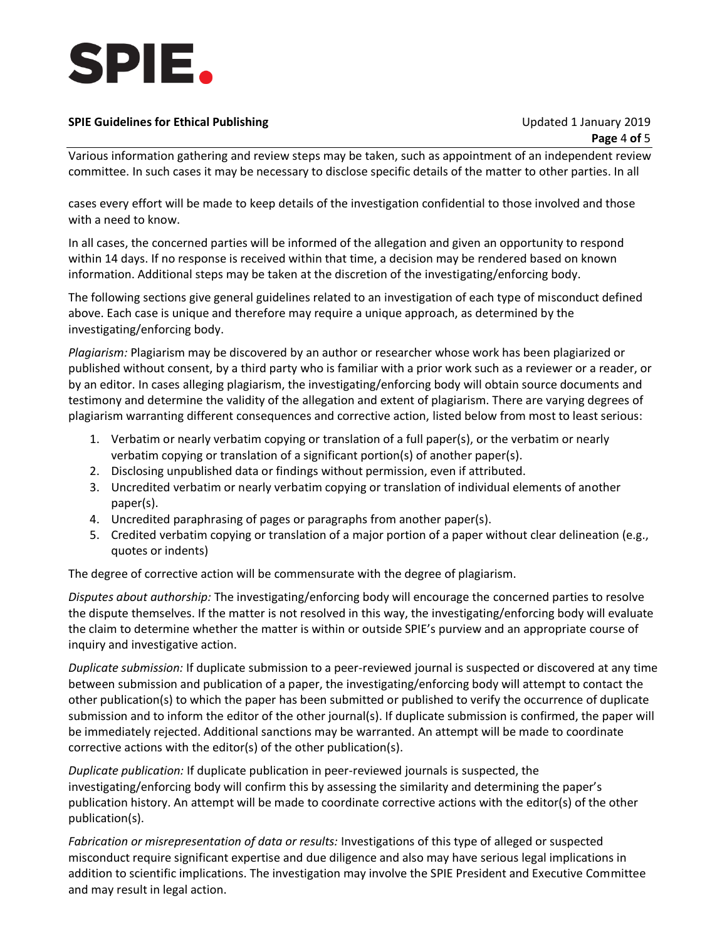

Various information gathering and review steps may be taken, such as appointment of an independent review committee. In such cases it may be necessary to disclose specific details of the matter to other parties. In all

cases every effort will be made to keep details of the investigation confidential to those involved and those with a need to know.

In all cases, the concerned parties will be informed of the allegation and given an opportunity to respond within 14 days. If no response is received within that time, a decision may be rendered based on known information. Additional steps may be taken at the discretion of the investigating/enforcing body.

The following sections give general guidelines related to an investigation of each type of misconduct defined above. Each case is unique and therefore may require a unique approach, as determined by the investigating/enforcing body.

*Plagiarism:* Plagiarism may be discovered by an author or researcher whose work has been plagiarized or published without consent, by a third party who is familiar with a prior work such as a reviewer or a reader, or by an editor. In cases alleging plagiarism, the investigating/enforcing body will obtain source documents and testimony and determine the validity of the allegation and extent of plagiarism. There are varying degrees of plagiarism warranting different consequences and corrective action, listed below from most to least serious:

- 1. Verbatim or nearly verbatim copying or translation of a full paper(s), or the verbatim or nearly verbatim copying or translation of a significant portion(s) of another paper(s).
- 2. Disclosing unpublished data or findings without permission, even if attributed.
- 3. Uncredited verbatim or nearly verbatim copying or translation of individual elements of another paper(s).
- 4. Uncredited paraphrasing of pages or paragraphs from another paper(s).
- 5. Credited verbatim copying or translation of a major portion of a paper without clear delineation (e.g., quotes or indents)

The degree of corrective action will be commensurate with the degree of plagiarism.

*Disputes about authorship:* The investigating/enforcing body will encourage the concerned parties to resolve the dispute themselves. If the matter is not resolved in this way, the investigating/enforcing body will evaluate the claim to determine whether the matter is within or outside SPIE's purview and an appropriate course of inquiry and investigative action.

*Duplicate submission:* If duplicate submission to a peer-reviewed journal is suspected or discovered at any time between submission and publication of a paper, the investigating/enforcing body will attempt to contact the other publication(s) to which the paper has been submitted or published to verify the occurrence of duplicate submission and to inform the editor of the other journal(s). If duplicate submission is confirmed, the paper will be immediately rejected. Additional sanctions may be warranted. An attempt will be made to coordinate corrective actions with the editor(s) of the other publication(s).

*Duplicate publication:* If duplicate publication in peer-reviewed journals is suspected, the investigating/enforcing body will confirm this by assessing the similarity and determining the paper's publication history. An attempt will be made to coordinate corrective actions with the editor(s) of the other publication(s).

*Fabrication or misrepresentation of data or results:* Investigations of this type of alleged or suspected misconduct require significant expertise and due diligence and also may have serious legal implications in addition to scientific implications. The investigation may involve the SPIE President and Executive Committee and may result in legal action.